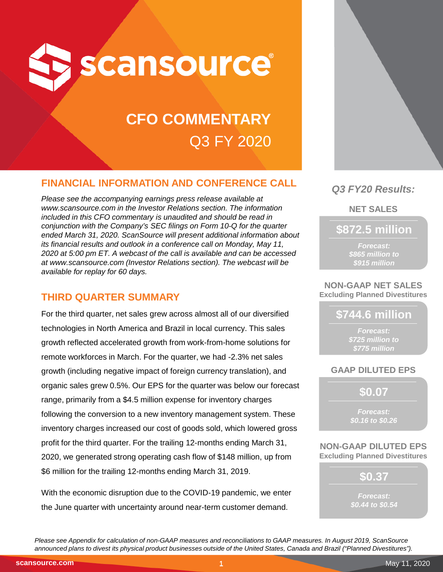

# **CFO COMMENTARY** Q3 FY 2020

## **FINANCIAL INFORMATION AND CONFERENCE CALL**

*Please see the accompanying earnings press release available at www.scansource.com in the Investor Relations section. The information included in this CFO commentary is unaudited and should be read in conjunction with the Company's SEC filings on Form 10-Q for the quarter ended March 31, 2020. ScanSource will present additional information about its financial results and outlook in a conference call on Monday, May 11, 2020 at 5:00 pm ET. A webcast of the call is available and can be accessed at www.scansource.com (Investor Relations section). The webcast will be available for replay for 60 days.*

## **THIRD QUARTER SUMMARY**

For the third quarter, net sales grew across almost all of our diversified technologies in North America and Brazil in local currency. This sales growth reflected accelerated growth from work-from-home solutions for remote workforces in March. For the quarter, we had -2.3% net sales growth (including negative impact of foreign currency translation), and organic sales grew 0.5%. Our EPS for the quarter was below our forecast range, primarily from a \$4.5 million expense for inventory charges following the conversion to a new inventory management system. These inventory charges increased our cost of goods sold, which lowered gross profit for the third quarter. For the trailing 12-months ending March 31, 2020, we generated strong operating cash flow of \$148 million, up from \$6 million for the trailing 12-months ending March 31, 2019.

With the economic disruption due to the COVID-19 pandemic, we enter the June quarter with uncertainty around near-term customer demand.



## *Q3 FY20 Results:*

**NET SALES**

**\$872.5 million**

*Forecast: \$865 million to \$915 million*

**NON-GAAP NET SALES Excluding Planned Divestitures**

## **\$744.6 million**

*Forecast: \$725 million to \$775 million*

## **GAAP DILUTED EPS**

**\$0.07**

*Forecast: \$0.16 to \$0.26*

**NON-GAAP DILUTED EPS Excluding Planned Divestitures**

> **\$0.37** *Forecast: \$0.44 to \$0.54*

*Please see Appendix for calculation of non-GAAP measures and reconciliations to GAAP measures. In August 2019, ScanSource announced plans to divest its physical product businesses outside of the United States, Canada and Brazil ("Planned Divestitures").*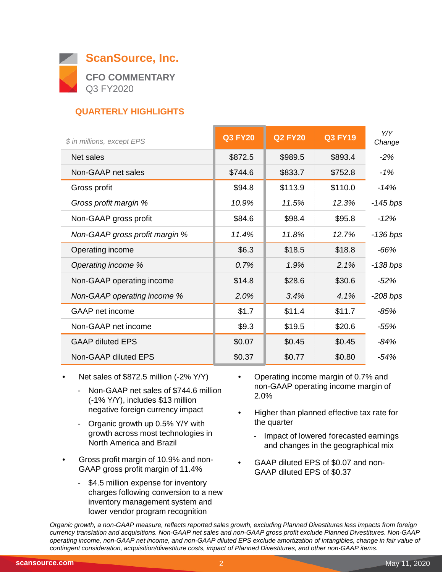

## **QUARTERLY HIGHLIGHTS**

| \$ in millions, except EPS     | <b>Q3 FY20</b> | <b>Q2 FY20</b> | <b>Q3 FY19</b> | Y/Y<br>Change |
|--------------------------------|----------------|----------------|----------------|---------------|
| Net sales                      | \$872.5        | \$989.5        | \$893.4        | $-2%$         |
| Non-GAAP net sales             | \$744.6        | \$833.7        | \$752.8        | $-1%$         |
| Gross profit                   | \$94.8         | \$113.9        | \$110.0        | -14%          |
| Gross profit margin %          | 10.9%          | 11.5%          | 12.3%          | $-145$ bps    |
| Non-GAAP gross profit          | \$84.6         | \$98.4         | \$95.8         | $-12%$        |
| Non-GAAP gross profit margin % | 11.4%          | 11.8%          | 12.7%          | -136 bps      |
| Operating income               | \$6.3          | \$18.5         | \$18.8         | $-66%$        |
| Operating income %             | 0.7%           | 1.9%           | 2.1%           | $-138$ bps    |
| Non-GAAP operating income      | \$14.8         | \$28.6         | \$30.6         | $-52\%$       |
| Non-GAAP operating income %    | 2.0%           | 3.4%           | 4.1%           | $-208$ bps    |
| <b>GAAP</b> net income         | \$1.7          | \$11.4         | \$11.7         | $-85%$        |
| Non-GAAP net income            | \$9.3          | \$19.5         | \$20.6         | $-55%$        |
| <b>GAAP diluted EPS</b>        | \$0.07         | \$0.45         | \$0.45         | $-84%$        |
| Non-GAAP diluted EPS           | \$0.37         | \$0.77         | \$0.80         | $-54%$        |

- Net sales of \$872.5 million (-2% Y/Y)
	- Non-GAAP net sales of \$744.6 million (-1% Y/Y), includes \$13 million negative foreign currency impact
	- Organic growth up 0.5% Y/Y with growth across most technologies in North America and Brazil
- Gross profit margin of 10.9% and non-GAAP gross profit margin of 11.4%
	- \$4.5 million expense for inventory charges following conversion to a new inventory management system and lower vendor program recognition
- Operating income margin of 0.7% and non-GAAP operating income margin of 2.0%
- Higher than planned effective tax rate for the quarter
	- Impact of lowered forecasted earnings and changes in the geographical mix
- GAAP diluted EPS of \$0.07 and non-GAAP diluted EPS of \$0.37

*Organic growth, a non-GAAP measure, reflects reported sales growth, excluding Planned Divestitures less impacts from foreign currency translation and acquisitions. Non-GAAP net sales and non-GAAP gross profit exclude Planned Divestitures. Non-GAAP operating income, non-GAAP net income, and non-GAAP diluted EPS exclude amortization of intangibles, change in fair value of contingent consideration, acquisition/divestiture costs, impact of Planned Divestitures, and other non-GAAP items.*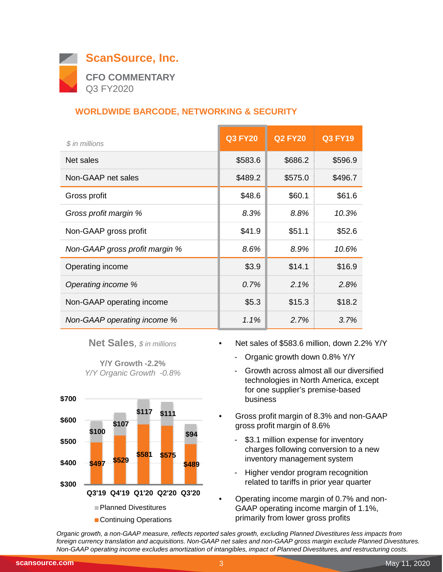

## **WORLDWIDE BARCODE, NETWORKING & SECURITY**

| \$ in millions                 | <b>Q3 FY20</b> | <b>Q2 FY20</b> | <b>Q3 FY19</b> |
|--------------------------------|----------------|----------------|----------------|
| Net sales                      | \$583.6        | \$686.2        | \$596.9        |
| Non-GAAP net sales             | \$489.2        | \$575.0        | \$496.7        |
| Gross profit                   | \$48.6         | \$60.1         | \$61.6         |
| Gross profit margin %          | 8.3%           | 8.8%           | 10.3%          |
| Non-GAAP gross profit          | \$41.9         | \$51.1         | \$52.6         |
| Non-GAAP gross profit margin % | 8.6%           | 8.9%           | 10.6%          |
| Operating income               | \$3.9          | \$14.1         | \$16.9         |
| Operating income %             | 0.7%           | 2.1%           | 2.8%           |
| Non-GAAP operating income      | \$5.3          | \$15.3         | \$18.2         |
| Non-GAAP operating income %    | $1.1\%$        | 2.7%           | 3.7%           |

**Net Sales***, \$ in millions*

**Y/Y Growth -2.2%** *Y/Y Organic Growth -0.8%*



- Net sales of \$583.6 million, down 2.2% Y/Y
	- Organic growth down 0.8% Y/Y
	- Growth across almost all our diversified technologies in North America, except for one supplier's premise-based business
- Gross profit margin of 8.3% and non-GAAP gross profit margin of 8.6%
	- \$3.1 million expense for inventory charges following conversion to a new inventory management system
	- Higher vendor program recognition related to tariffs in prior year quarter
- Operating income margin of 0.7% and non-GAAP operating income margin of 1.1%, primarily from lower gross profits

*Organic growth, a non-GAAP measure, reflects reported sales growth, excluding Planned Divestitures less impacts from foreign currency translation and acquisitions. Non-GAAP net sales and non-GAAP gross margin exclude Planned Divestitures. Non-GAAP operating income excludes amortization of intangibles, impact of Planned Divestitures, and restructuring costs.*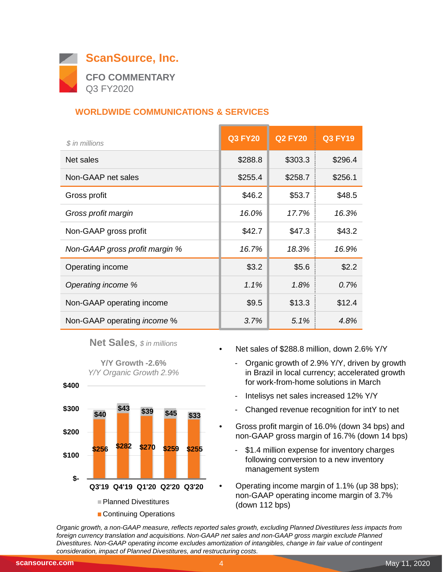

## **WORLDWIDE COMMUNICATIONS & SERVICES**

| \$ in millions                     | <b>Q3 FY20</b> | <b>Q2 FY20</b> | <b>Q3 FY19</b> |
|------------------------------------|----------------|----------------|----------------|
| Net sales                          | \$288.8        | \$303.3        | \$296.4        |
| Non-GAAP net sales                 | \$255.4        | \$258.7        | \$256.1        |
| Gross profit                       | \$46.2         | \$53.7         | \$48.5         |
| Gross profit margin                | 16.0%          | 17.7%          | 16.3%          |
| Non-GAAP gross profit              | \$42.7         | \$47.3         | \$43.2         |
| Non-GAAP gross profit margin %     | 16.7%          | 18.3%          | 16.9%          |
| Operating income                   | \$3.2          | \$5.6          | \$2.2          |
| Operating income %                 | 1.1%           | 1.8%           | 0.7%           |
| Non-GAAP operating income          | \$9.5          | \$13.3         | \$12.4         |
| Non-GAAP operating <i>income</i> % | 3.7%           | 5.1%           | 4.8%           |

**Net Sales***, \$ in millions*

**Y/Y Growth -2.6%** *Y/Y Organic Growth 2.9%*



- Net sales of \$288.8 million, down 2.6% Y/Y
	- Organic growth of 2.9% Y/Y, driven by growth in Brazil in local currency; accelerated growth for work-from-home solutions in March
	- Intelisys net sales increased 12% Y/Y
	- Changed revenue recognition for intY to net
- Gross profit margin of 16.0% (down 34 bps) and non-GAAP gross margin of 16.7% (down 14 bps)
	- \$1.4 million expense for inventory charges following conversion to a new inventory management system
- Operating income margin of 1.1% (up 38 bps); non-GAAP operating income margin of 3.7% (down 112 bps)

*Organic growth, a non-GAAP measure, reflects reported sales growth, excluding Planned Divestitures less impacts from*  foreign currency translation and acquisitions. Non-GAAP net sales and non-GAAP gross margin exclude Planned *Divestitures. Non-GAAP operating income excludes amortization of intangibles, change in fair value of contingent consideration, impact of Planned Divestitures, and restructuring costs.* $\overline{\phantom{0}}$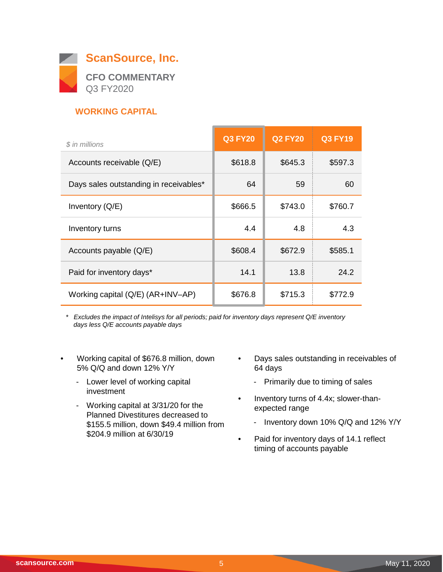

## **WORKING CAPITAL**

| \$ in millions                         | <b>Q3 FY20</b> | <b>Q2 FY20</b> | <b>Q3 FY19</b> |
|----------------------------------------|----------------|----------------|----------------|
| Accounts receivable (Q/E)              | \$618.8        | \$645.3        | \$597.3        |
| Days sales outstanding in receivables* | 64             | 59             | 60             |
| Inventory (Q/E)                        | \$666.5        | \$743.0        | \$760.7        |
| Inventory turns                        | 4.4            | 4.8            | 4.3            |
| Accounts payable (Q/E)                 | \$608.4        | \$672.9        | \$585.1        |
| Paid for inventory days*               | 14.1           | 13.8           | 24.2           |
| Working capital (Q/E) (AR+INV-AP)      | \$676.8        | \$715.3        | \$772.9        |

*\* Excludes the impact of Intelisys for all periods; paid for inventory days represent Q/E inventory days less Q/E accounts payable days*

- Working capital of \$676.8 million, down 5% Q/Q and down 12% Y/Y
	- Lower level of working capital investment
	- Working capital at 3/31/20 for the Planned Divestitures decreased to \$155.5 million, down \$49.4 million from \$204.9 million at 6/30/19
- Days sales outstanding in receivables of 64 days
	- Primarily due to timing of sales
- Inventory turns of 4.4x; slower-thanexpected range
	- Inventory down 10% Q/Q and 12% Y/Y
- Paid for inventory days of 14.1 reflect timing of accounts payable

 $\overline{\phantom{0}}$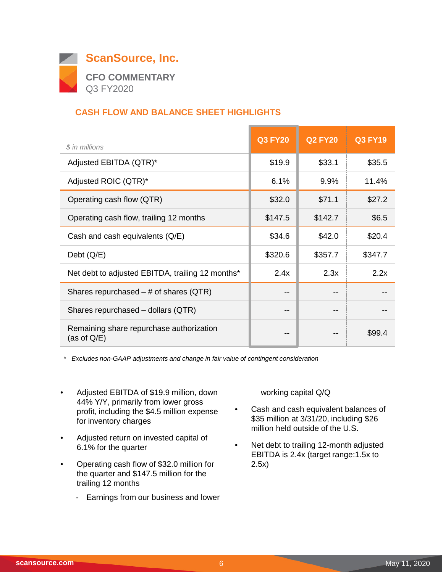

## **CASH FLOW AND BALANCE SHEET HIGHLIGHTS**

| \$ in millions                                             | <b>Q3 FY20</b> | <b>Q2 FY20</b> | <b>Q3 FY19</b> |
|------------------------------------------------------------|----------------|----------------|----------------|
| Adjusted EBITDA (QTR)*                                     | \$19.9         | \$33.1         | \$35.5         |
| Adjusted ROIC (QTR)*                                       | 6.1%           | 9.9%           | 11.4%          |
| Operating cash flow (QTR)                                  | \$32.0         | \$71.1         | \$27.2         |
| Operating cash flow, trailing 12 months                    | \$147.5        | \$142.7        | \$6.5          |
| Cash and cash equivalents (Q/E)                            | \$34.6         | \$42.0         | \$20.4         |
| Debt $(Q/E)$                                               | \$320.6        | \$357.7        | \$347.7        |
| Net debt to adjusted EBITDA, trailing 12 months*           | 2.4x           | 2.3x           | 2.2x           |
| Shares repurchased $-$ # of shares (QTR)                   | --             |                |                |
| Shares repurchased - dollars (QTR)                         | --             |                |                |
| Remaining share repurchase authorization<br>(as of $Q/E$ ) | --             | --             | \$99.4         |

*\* Excludes non-GAAP adjustments and change in fair value of contingent consideration*

- Adjusted EBITDA of \$19.9 million, down 44% Y/Y, primarily from lower gross profit, including the \$4.5 million expense for inventory charges
- Adjusted return on invested capital of 6.1% for the quarter
- Operating cash flow of \$32.0 million for the quarter and \$147.5 million for the trailing 12 months
	- Earnings from our business and lower

working capital Q/Q

- Cash and cash equivalent balances of \$35 million at 3/31/20, including \$26 million held outside of the U.S.
- Net debt to trailing 12-month adjusted EBITDA is 2.4x (target range:1.5x to 2.5x)

 $\overline{\phantom{0}}$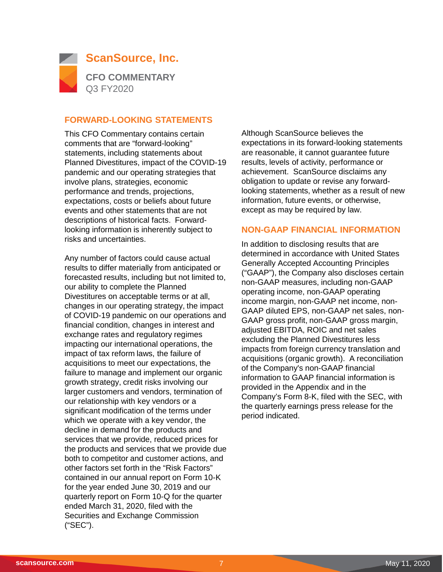

#### **FORWARD-LOOKING STATEMENTS**

This CFO Commentary contains certain comments that are "forward-looking" statements, including statements about Planned Divestitures, impact of the COVID-19 pandemic and our operating strategies that involve plans, strategies, economic performance and trends, projections, expectations, costs or beliefs about future events and other statements that are not descriptions of historical facts. Forwardlooking information is inherently subject to risks and uncertainties.

Any number of factors could cause actual results to differ materially from anticipated or forecasted results, including but not limited to, our ability to complete the Planned Divestitures on acceptable terms or at all, changes in our operating strategy, the impact of COVID-19 pandemic on our operations and financial condition, changes in interest and exchange rates and regulatory regimes impacting our international operations, the impact of tax reform laws, the failure of acquisitions to meet our expectations, the failure to manage and implement our organic growth strategy, credit risks involving our larger customers and vendors, termination of our relationship with key vendors or a significant modification of the terms under which we operate with a key vendor, the decline in demand for the products and services that we provide, reduced prices for the products and services that we provide due both to competitor and customer actions, and other factors set forth in the "Risk Factors" contained in our annual report on Form 10-K for the year ended June 30, 2019 and our quarterly report on Form 10-Q for the quarter ended March 31, 2020, filed with the Securities and Exchange Commission ("SEC").

Although ScanSource believes the expectations in its forward-looking statements are reasonable, it cannot guarantee future results, levels of activity, performance or achievement. ScanSource disclaims any obligation to update or revise any forwardlooking statements, whether as a result of new information, future events, or otherwise, except as may be required by law.

#### **NON-GAAP FINANCIAL INFORMATION**

In addition to disclosing results that are determined in accordance with United States Generally Accepted Accounting Principles ("GAAP"), the Company also discloses certain non-GAAP measures, including non-GAAP operating income, non-GAAP operating income margin, non-GAAP net income, non-GAAP diluted EPS, non-GAAP net sales, non-GAAP gross profit, non-GAAP gross margin, adjusted EBITDA, ROIC and net sales excluding the Planned Divestitures less impacts from foreign currency translation and acquisitions (organic growth). A reconciliation of the Company's non-GAAP financial information to GAAP financial information is provided in the Appendix and in the Company's Form 8-K, filed with the SEC, with the quarterly earnings press release for the period indicated.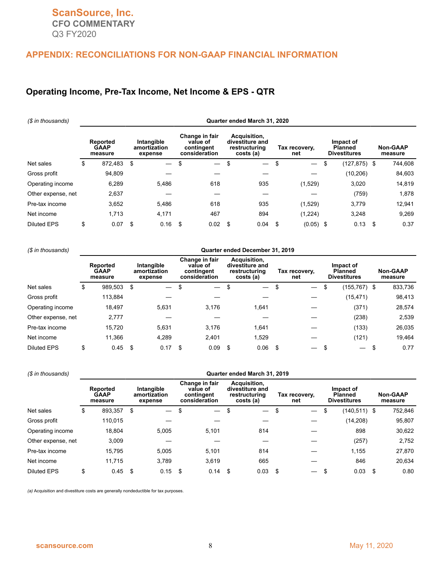#### **APPENDIX: RECONCILIATIONS FOR NON-GAAP FINANCIAL INFORMATION**

#### **Operating Income, Pre-Tax Income, Net Income & EPS - QTR**

| (\$ in thousands)  |                                           |         |                                       |                               |                                                           |                          |                                                               | Quarter ended March 31, 2020 |                      |                          |                                                    |              |                            |         |
|--------------------|-------------------------------------------|---------|---------------------------------------|-------------------------------|-----------------------------------------------------------|--------------------------|---------------------------------------------------------------|------------------------------|----------------------|--------------------------|----------------------------------------------------|--------------|----------------------------|---------|
|                    | <b>Reported</b><br><b>GAAP</b><br>measure |         | Intangible<br>amortization<br>expense |                               | Change in fair<br>value of<br>contingent<br>consideration |                          | Acquisition,<br>divestiture and<br>restructuring<br>costs (a) |                              | Tax recovery.<br>net |                          | Impact of<br><b>Planned</b><br><b>Divestitures</b> |              | <b>Non-GAAP</b><br>measure |         |
| Net sales          | \$                                        | 872.483 | \$                                    | $\overbrace{\phantom{12333}}$ | \$                                                        | $\overline{\phantom{m}}$ | \$                                                            |                              | \$                   | $\overline{\phantom{0}}$ | \$                                                 | (127,875) \$ |                            | 744,608 |
| Gross profit       |                                           | 94,809  |                                       |                               |                                                           |                          |                                                               |                              |                      |                          |                                                    | (10, 206)    |                            | 84,603  |
| Operating income   |                                           | 6,289   |                                       | 5,486                         |                                                           | 618                      |                                                               | 935                          |                      | (1,529)                  |                                                    | 3,020        |                            | 14,819  |
| Other expense, net |                                           | 2,637   |                                       |                               |                                                           |                          |                                                               |                              |                      |                          |                                                    | (759)        |                            | 1,878   |
| Pre-tax income     |                                           | 3,652   |                                       | 5,486                         |                                                           | 618                      |                                                               | 935                          |                      | (1,529)                  |                                                    | 3,779        |                            | 12,941  |
| Net income         |                                           | 1,713   |                                       | 4,171                         |                                                           | 467                      |                                                               | 894                          |                      | (1, 224)                 |                                                    | 3,248        |                            | 9.269   |
| <b>Diluted EPS</b> | \$                                        | 0.07    | \$                                    | 0.16                          | \$                                                        | 0.02                     | \$                                                            | 0.04                         | \$                   | $(0.05)$ \$              |                                                    | 0.13         | \$                         | 0.37    |

#### *(\$ in thousands)* **Quarter ended December 31, 2019**

|                    | Reported<br><b>GAAP</b><br>measure |      | Intangible<br>amortization<br>expense | Change in fair<br>value of<br>contingent<br>consideration | Acquisition,<br>divestiture and<br>restructuring<br>costs (a) | Tax recovery,<br>net           | Impact of<br><b>Planned</b><br><b>Divestitures</b> |      | <b>Non-GAAP</b><br>measure |
|--------------------|------------------------------------|------|---------------------------------------|-----------------------------------------------------------|---------------------------------------------------------------|--------------------------------|----------------------------------------------------|------|----------------------------|
| Net sales          | \$<br>989,503                      | \$   | $\overline{\phantom{0}}$              | \$<br>$\overbrace{\phantom{12333}}$                       | \$<br>$\overline{\phantom{0}}$                                | \$                             | \$<br>(155,767) \$                                 |      | 833,736                    |
| Gross profit       | 113,884                            |      |                                       |                                                           |                                                               |                                | (15, 471)                                          |      | 98,413                     |
| Operating income   | 18,497                             |      | 5.631                                 | 3.176                                                     | 1.641                                                         |                                | (371)                                              |      | 28,574                     |
| Other expense, net | 2,777                              |      |                                       |                                                           |                                                               |                                | (238)                                              |      | 2,539                      |
| Pre-tax income     | 15,720                             |      | 5.631                                 | 3.176                                                     | 1.641                                                         |                                | (133)                                              |      | 26,035                     |
| Net income         | 11,366                             |      | 4.289                                 | 2.401                                                     | 1,529                                                         |                                | (121)                                              |      | 19,464                     |
| <b>Diluted EPS</b> | \$<br>0.45                         | - \$ | 0.17                                  | \$<br>0.09                                                | 0.06                                                          | \$<br>$\overline{\phantom{0}}$ | $\overbrace{\phantom{12333}}$                      | - \$ | 0.77                       |

| (\$ in thousands)  |                                    | Quarter ended March 31, 2019 |                                       |       |                                                           |                          |                                                               |                          |                      |  |                                                    |                 |     |                            |  |
|--------------------|------------------------------------|------------------------------|---------------------------------------|-------|-----------------------------------------------------------|--------------------------|---------------------------------------------------------------|--------------------------|----------------------|--|----------------------------------------------------|-----------------|-----|----------------------------|--|
|                    | Reported<br><b>GAAP</b><br>measure |                              | Intangible<br>amortization<br>expense |       | Change in fair<br>value of<br>contingent<br>consideration |                          | Acquisition,<br>divestiture and<br>restructuring<br>costs (a) |                          | Tax recovery.<br>net |  | Impact of<br><b>Planned</b><br><b>Divestitures</b> |                 |     | <b>Non-GAAP</b><br>measure |  |
| Net sales          | \$                                 | 893,357                      | \$                                    |       | \$                                                        | $\overline{\phantom{m}}$ | \$                                                            | $\overline{\phantom{0}}$ | \$                   |  | \$                                                 | $(140, 511)$ \$ |     | 752,846                    |  |
| Gross profit       |                                    | 110.015                      |                                       |       |                                                           |                          |                                                               |                          |                      |  |                                                    | (14,208)        |     | 95,807                     |  |
| Operating income   |                                    | 18,804                       |                                       | 5.005 |                                                           | 5,101                    |                                                               | 814                      |                      |  |                                                    | 898             |     | 30,622                     |  |
| Other expense, net |                                    | 3,009                        |                                       |       |                                                           |                          |                                                               |                          |                      |  |                                                    | (257)           |     | 2,752                      |  |
| Pre-tax income     |                                    | 15,795                       |                                       | 5.005 |                                                           | 5,101                    |                                                               | 814                      |                      |  |                                                    | 1,155           |     | 27,870                     |  |
| Net income         |                                    | 11.715                       |                                       | 3.789 |                                                           | 3.619                    |                                                               | 665                      |                      |  |                                                    | 846             |     | 20,634                     |  |
| <b>Diluted EPS</b> | \$                                 | 0.45                         | -\$                                   | 0.15  | \$                                                        | 0.14                     | - \$                                                          | 0.03                     | \$                   |  |                                                    | 0.03            | -\$ | 0.80                       |  |

*(a)* Acquisition and divestiture costs are generally nondeductible for tax purposes.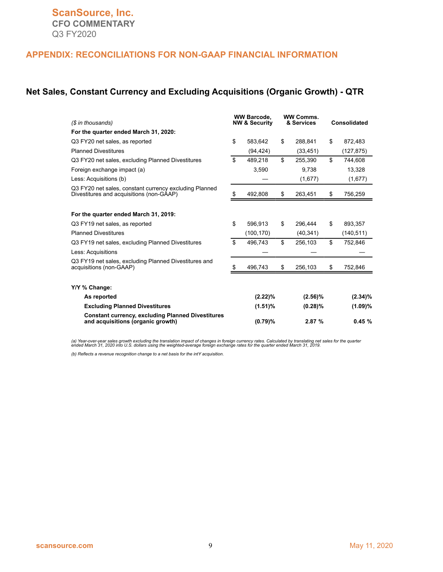#### **APPENDIX: RECONCILIATIONS FOR NON-GAAP FINANCIAL INFORMATION**

#### **Net Sales, Constant Currency and Excluding Acquisitions (Organic Growth) - QTR**

| (\$ in thousands)                                                                                  |    | <b>WW Barcode.</b><br><b>NW &amp; Security</b> |    | <b>WW Comms.</b><br>& Services | <b>Consolidated</b><br>872,483<br>(127, 875)<br>744,608<br>13,328 |  |  |
|----------------------------------------------------------------------------------------------------|----|------------------------------------------------|----|--------------------------------|-------------------------------------------------------------------|--|--|
| For the quarter ended March 31, 2020:                                                              |    |                                                |    |                                |                                                                   |  |  |
| Q3 FY20 net sales, as reported                                                                     | \$ | 583,642                                        | \$ | 288,841                        | \$                                                                |  |  |
| <b>Planned Divestitures</b>                                                                        |    | (94, 424)                                      |    | (33, 451)                      |                                                                   |  |  |
| Q3 FY20 net sales, excluding Planned Divestitures                                                  | \$ | 489,218                                        | \$ | 255,390                        | \$                                                                |  |  |
| Foreign exchange impact (a)                                                                        |    | 3,590                                          |    | 9,738                          |                                                                   |  |  |
| Less: Acquisitions (b)                                                                             |    |                                                |    | (1,677)                        | (1,677)                                                           |  |  |
| Q3 FY20 net sales, constant currency excluding Planned<br>Divestitures and acquisitions (non-GAAP) | S. | 492,808                                        | \$ | 263,451                        | \$<br>756,259                                                     |  |  |
| For the quarter ended March 31, 2019:                                                              |    |                                                |    |                                |                                                                   |  |  |
| Q3 FY19 net sales, as reported                                                                     | \$ | 596,913                                        | \$ | 296,444                        | \$<br>893,357                                                     |  |  |
| <b>Planned Divestitures</b>                                                                        |    | (100, 170)                                     |    | (40, 341)                      | (140, 511)                                                        |  |  |
| Q3 FY19 net sales, excluding Planned Divestitures                                                  | \$ | 496,743                                        | \$ | 256,103                        | \$<br>752,846                                                     |  |  |
| Less: Acquisitions                                                                                 |    |                                                |    |                                |                                                                   |  |  |
| Q3 FY19 net sales, excluding Planned Divestitures and<br>acquisitions (non-GAAP)                   | S  | 496,743                                        | \$ | 256,103                        | \$<br>752,846                                                     |  |  |
| Y/Y % Change:                                                                                      |    |                                                |    |                                |                                                                   |  |  |
| As reported                                                                                        |    | (2.22)%                                        |    | $(2.56)\%$                     | $(2.34)\%$                                                        |  |  |
| <b>Excluding Planned Divestitures</b>                                                              |    | $(1.51)\%$                                     |    | $(0.28)\%$                     | (1.09)%                                                           |  |  |
| <b>Constant currency, excluding Planned Divestitures</b><br>and acquisitions (organic growth)      |    | (0.79)%                                        |    | 2.87%                          | 0.45%                                                             |  |  |

(a) Year-over-year sales growth excluding the translation impact of changes in foreign currency rates. Calculated by translating net sales for the quarter<br>ended March 31, 2020 into U.S. dollars using the weighted-average f

*(b) Reflects a revenue recognition change to a net basis for the intY acquisition.*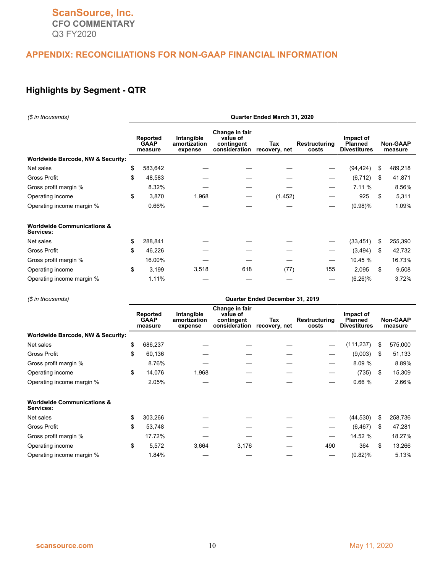## **APPENDIX: RECONCILIATIONS FOR NON-GAAP FINANCIAL INFORMATION**

## **Highlights by Segment - QTR**

| (\$ in thousands)                                  | Quarter Ended March 31, 2020 |                                           |                                       |                                                           |                      |                        |                                                    |     |                            |  |  |  |  |
|----------------------------------------------------|------------------------------|-------------------------------------------|---------------------------------------|-----------------------------------------------------------|----------------------|------------------------|----------------------------------------------------|-----|----------------------------|--|--|--|--|
|                                                    |                              | <b>Reported</b><br><b>GAAP</b><br>measure | Intangible<br>amortization<br>expense | Change in fair<br>value of<br>contingent<br>consideration | Tax<br>recovery, net | Restructuring<br>costs | Impact of<br><b>Planned</b><br><b>Divestitures</b> |     | <b>Non-GAAP</b><br>measure |  |  |  |  |
| Worldwide Barcode, NW & Security:                  |                              |                                           |                                       |                                                           |                      |                        |                                                    |     |                            |  |  |  |  |
| Net sales                                          | \$                           | 583,642                                   |                                       |                                                           |                      |                        | (94, 424)                                          | \$  | 489,218                    |  |  |  |  |
| <b>Gross Profit</b>                                | \$                           | 48,583                                    |                                       |                                                           |                      |                        | (6, 712)                                           | \$. | 41,871                     |  |  |  |  |
| Gross profit margin %                              |                              | 8.32%                                     |                                       |                                                           |                      |                        | 7.11 %                                             |     | 8.56%                      |  |  |  |  |
| Operating income                                   | \$                           | 3,870                                     | 1,968                                 |                                                           | (1, 452)             |                        | 925                                                | \$. | 5,311                      |  |  |  |  |
| Operating income margin %                          |                              | 0.66%                                     |                                       |                                                           |                      |                        | (0.98)%                                            |     | 1.09%                      |  |  |  |  |
| <b>Worldwide Communications &amp;</b><br>Services: |                              |                                           |                                       |                                                           |                      |                        |                                                    |     |                            |  |  |  |  |
| Net sales                                          | \$                           | 288,841                                   |                                       |                                                           |                      |                        | (33, 451)                                          | \$  | 255,390                    |  |  |  |  |
| <b>Gross Profit</b>                                | \$                           | 46,226                                    |                                       |                                                           |                      |                        | (3, 494)                                           | S   | 42,732                     |  |  |  |  |
| Gross profit margin %                              |                              | 16.00%                                    |                                       |                                                           |                      | —                      | 10.45 %                                            |     | 16.73%                     |  |  |  |  |
| Operating income                                   | \$                           | 3,199                                     | 3,518                                 | 618                                                       | (77)                 | 155                    | 2,095                                              | \$  | 9,508                      |  |  |  |  |
| Operating income margin %                          |                              | 1.11%                                     |                                       |                                                           |                      |                        | $(6.26)\%$                                         |     | 3.72%                      |  |  |  |  |

| (\$ in thousands)                                  | Quarter Ended December 31, 2019 |                                           |                                       |                                                           |                      |                        |                                                    |                            |         |  |  |  |  |  |
|----------------------------------------------------|---------------------------------|-------------------------------------------|---------------------------------------|-----------------------------------------------------------|----------------------|------------------------|----------------------------------------------------|----------------------------|---------|--|--|--|--|--|
|                                                    |                                 | <b>Reported</b><br><b>GAAP</b><br>measure | Intangible<br>amortization<br>expense | Change in fair<br>value of<br>contingent<br>consideration | Tax<br>recovery, net | Restructuring<br>costs | Impact of<br><b>Planned</b><br><b>Divestitures</b> | <b>Non-GAAP</b><br>measure |         |  |  |  |  |  |
| <b>Worldwide Barcode, NW &amp; Security:</b>       |                                 |                                           |                                       |                                                           |                      |                        |                                                    |                            |         |  |  |  |  |  |
| Net sales                                          | \$                              | 686,237                                   |                                       |                                                           |                      | —                      | (111, 237)                                         | S                          | 575,000 |  |  |  |  |  |
| <b>Gross Profit</b>                                | \$                              | 60,136                                    |                                       |                                                           |                      |                        | (9,003)                                            | - \$                       | 51,133  |  |  |  |  |  |
| Gross profit margin %                              |                                 | 8.76%                                     |                                       |                                                           |                      |                        | 8.09 %                                             |                            | 8.89%   |  |  |  |  |  |
| Operating income                                   | \$                              | 14,076                                    | 1,968                                 |                                                           |                      | —                      | (735)                                              | - \$                       | 15,309  |  |  |  |  |  |
| Operating income margin %                          |                                 | 2.05%                                     |                                       |                                                           |                      |                        | 0.66%                                              |                            | 2.66%   |  |  |  |  |  |
| <b>Worldwide Communications &amp;</b><br>Services: |                                 |                                           |                                       |                                                           |                      |                        |                                                    |                            |         |  |  |  |  |  |
| Net sales                                          | \$                              | 303,266                                   |                                       |                                                           |                      |                        | (44, 530)                                          | \$                         | 258,736 |  |  |  |  |  |
| Gross Profit                                       | \$                              | 53,748                                    |                                       |                                                           |                      |                        | (6, 467)                                           | -S                         | 47,281  |  |  |  |  |  |
| Gross profit margin %                              |                                 | 17.72%                                    |                                       |                                                           |                      |                        | 14.52 %                                            |                            | 18.27%  |  |  |  |  |  |
| Operating income                                   | \$                              | 5,572                                     | 3,664                                 | 3,176                                                     |                      | 490                    | 364                                                | \$                         | 13,266  |  |  |  |  |  |
| Operating income margin %                          |                                 | 1.84%                                     |                                       |                                                           |                      | –                      | (0.82)%                                            |                            | 5.13%   |  |  |  |  |  |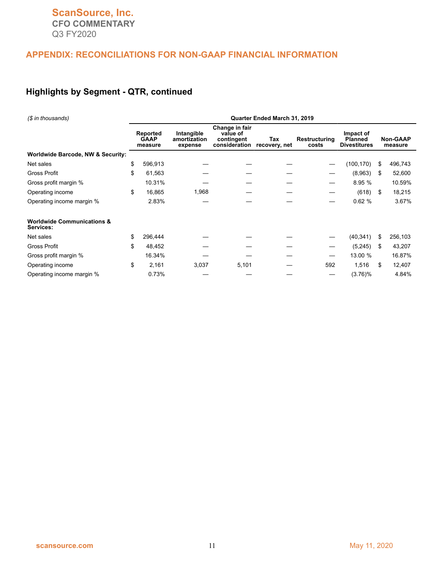## **APPENDIX: RECONCILIATIONS FOR NON-GAAP FINANCIAL INFORMATION**

## **Highlights by Segment - QTR, continued**

| (\$ in thousands)                                  | Quarter Ended March 31, 2019       |                                                                                                                            |       |                        |                                                    |                            |     |         |  |  |  |  |  |
|----------------------------------------------------|------------------------------------|----------------------------------------------------------------------------------------------------------------------------|-------|------------------------|----------------------------------------------------|----------------------------|-----|---------|--|--|--|--|--|
|                                                    | Reported<br><b>GAAP</b><br>measure | Change in fair<br>Intangible<br>value of<br>contingent<br>Tax<br>amortization<br>consideration<br>recovery, net<br>expense |       | Restructuring<br>costs | Impact of<br><b>Planned</b><br><b>Divestitures</b> | <b>Non-GAAP</b><br>measure |     |         |  |  |  |  |  |
| Worldwide Barcode, NW & Security:                  |                                    |                                                                                                                            |       |                        |                                                    |                            |     |         |  |  |  |  |  |
| Net sales                                          | \$<br>596,913                      |                                                                                                                            |       |                        |                                                    | (100, 170)                 | \$  | 496,743 |  |  |  |  |  |
| <b>Gross Profit</b>                                | \$<br>61,563                       |                                                                                                                            |       |                        |                                                    | (8,963)                    | S   | 52,600  |  |  |  |  |  |
| Gross profit margin %                              | 10.31%                             |                                                                                                                            |       |                        | —                                                  | 8.95 %                     |     | 10.59%  |  |  |  |  |  |
| Operating income                                   | \$<br>16,865                       | 1,968                                                                                                                      |       |                        |                                                    | (618)                      | S.  | 18,215  |  |  |  |  |  |
| Operating income margin %                          | 2.83%                              |                                                                                                                            |       |                        | —                                                  | 0.62%                      |     | 3.67%   |  |  |  |  |  |
| <b>Worldwide Communications &amp;</b><br>Services: |                                    |                                                                                                                            |       |                        |                                                    |                            |     |         |  |  |  |  |  |
| Net sales                                          | \$<br>296,444                      |                                                                                                                            |       |                        |                                                    | (40, 341)                  | \$  | 256,103 |  |  |  |  |  |
| <b>Gross Profit</b>                                | \$<br>48,452                       |                                                                                                                            |       |                        | —                                                  | (5, 245)                   | \$  | 43,207  |  |  |  |  |  |
| Gross profit margin %                              | 16.34%                             |                                                                                                                            |       |                        |                                                    | 13.00 %                    |     | 16.87%  |  |  |  |  |  |
| Operating income                                   | \$<br>2,161                        | 3,037                                                                                                                      | 5,101 |                        | 592                                                | 1,516                      | \$. | 12,407  |  |  |  |  |  |
| Operating income margin %                          | 0.73%                              |                                                                                                                            |       |                        | –                                                  | $(3.76)\%$                 |     | 4.84%   |  |  |  |  |  |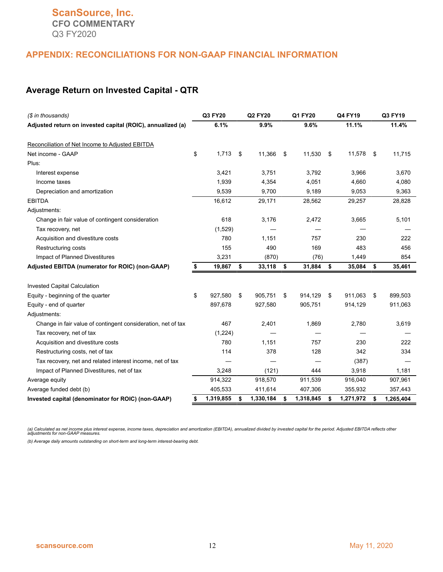#### **APPENDIX: RECONCILIATIONS FOR NON-GAAP FINANCIAL INFORMATION**

#### **Average Return on Invested Capital - QTR**

| (\$ in thousands)                                            | Q3 FY20         | Q2 FY20         | Q1 FY20         | Q4 FY19         |     | Q3 FY19   |
|--------------------------------------------------------------|-----------------|-----------------|-----------------|-----------------|-----|-----------|
| Adjusted return on invested capital (ROIC), annualized (a)   | 6.1%            | 9.9%            | 9.6%            | 11.1%           |     | 11.4%     |
|                                                              |                 |                 |                 |                 |     |           |
| Reconciliation of Net Income to Adjusted EBITDA              |                 |                 |                 |                 |     |           |
| Net income - GAAP                                            | \$<br>1,713     | \$<br>11,366    | \$<br>11,530    | \$<br>11,578    | -\$ | 11,715    |
| Plus:                                                        |                 |                 |                 |                 |     |           |
| Interest expense                                             | 3,421           | 3,751           | 3,792           | 3,966           |     | 3,670     |
| Income taxes                                                 | 1,939           | 4,354           | 4,051           | 4,660           |     | 4,080     |
| Depreciation and amortization                                | 9,539           | 9,700           | 9,189           | 9,053           |     | 9,363     |
| <b>EBITDA</b>                                                | 16,612          | 29,171          | 28,562          | 29,257          |     | 28,828    |
| Adjustments:                                                 |                 |                 |                 |                 |     |           |
| Change in fair value of contingent consideration             | 618             | 3,176           | 2,472           | 3,665           |     | 5,101     |
| Tax recovery, net                                            | (1,529)         |                 |                 |                 |     |           |
| Acquisition and divestiture costs                            | 780             | 1,151           | 757             | 230             |     | 222       |
| Restructuring costs                                          | 155             | 490             | 169             | 483             |     | 456       |
| Impact of Planned Divestitures                               | 3.231           | (870)           | (76)            | 1,449           |     | 854       |
| Adjusted EBITDA (numerator for ROIC) (non-GAAP)              | \$<br>19,867    | \$<br>33,118    | \$<br>31,884    | \$<br>35,084    | \$  | 35,461    |
|                                                              |                 |                 |                 |                 |     |           |
| <b>Invested Capital Calculation</b>                          |                 |                 |                 |                 |     |           |
| Equity - beginning of the quarter                            | \$<br>927,580   | \$<br>905,751   | \$<br>914,129   | \$<br>911,063   | \$  | 899,503   |
| Equity - end of quarter                                      | 897,678         | 927,580         | 905,751         | 914,129         |     | 911,063   |
| Adjustments:                                                 |                 |                 |                 |                 |     |           |
| Change in fair value of contingent consideration, net of tax | 467             | 2,401           | 1,869           | 2,780           |     | 3,619     |
| Tax recovery, net of tax                                     | (1,224)         |                 |                 |                 |     |           |
| Acquisition and divestiture costs                            | 780             | 1.151           | 757             | 230             |     | 222       |
| Restructuring costs, net of tax                              | 114             | 378             | 128             | 342             |     | 334       |
| Tax recovery, net and related interest income, net of tax    |                 |                 |                 | (387)           |     |           |
| Impact of Planned Divestitures, net of tax                   | 3,248           | (121)           | 444             | 3,918           |     | 1,181     |
| Average equity                                               | 914,322         | 918,570         | 911,539         | 916,040         |     | 907,961   |
| Average funded debt (b)                                      | 405,533         | 411,614         | 407,306         | 355,932         |     | 357,443   |
| Invested capital (denominator for ROIC) (non-GAAP)           | \$<br>1,319,855 | \$<br>1,330,184 | \$<br>1,318,845 | \$<br>1,271,972 | \$  | 1,265,404 |

(a) Calculated as net income plus interest expense, income taxes, depreciation and amortization (EBITDA), annualized divided by invested capital for the period. Adjusted EBITDA reflects other<br>adjustments for non-GAAP measu

*(b) Average daily amounts outstanding on short-term and long-term interest-bearing debt.*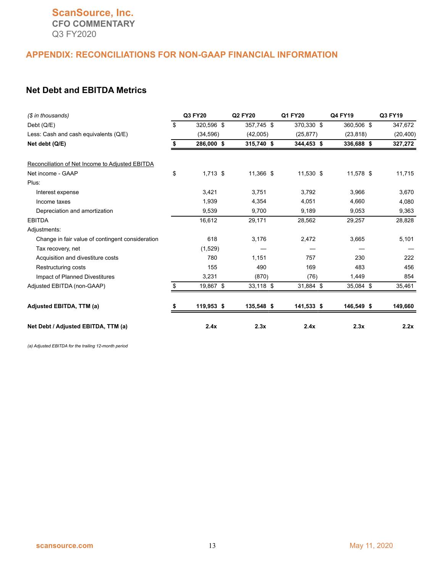#### **APPENDIX: RECONCILIATIONS FOR NON-GAAP FINANCIAL INFORMATION**

#### **Net Debt and EBITDA Metrics**

| (\$ in thousands)                                | Q3 FY20          | Q2 FY20    | Q1 FY20    | Q4 FY19    | Q3 FY19   |
|--------------------------------------------------|------------------|------------|------------|------------|-----------|
| Debt (Q/E)                                       | \$<br>320,596 \$ | 357,745 \$ | 370,330 \$ | 360,506 \$ | 347,672   |
| Less: Cash and cash equivalents (Q/E)            | (34, 596)        | (42,005)   | (25, 877)  | (23, 818)  | (20, 400) |
| Net debt (Q/E)                                   | \$<br>286,000 \$ | 315,740 \$ | 344,453 \$ | 336,688 \$ | 327,272   |
| Reconciliation of Net Income to Adjusted EBITDA  |                  |            |            |            |           |
| Net income - GAAP                                | \$<br>$1,713$ \$ | 11,366 \$  | 11,530 \$  | 11,578 \$  | 11,715    |
| Plus:                                            |                  |            |            |            |           |
| Interest expense                                 | 3,421            | 3,751      | 3,792      | 3,966      | 3,670     |
| Income taxes                                     | 1,939            | 4,354      | 4,051      | 4,660      | 4,080     |
| Depreciation and amortization                    | 9,539            | 9,700      | 9,189      | 9,053      | 9,363     |
| <b>EBITDA</b>                                    | 16,612           | 29,171     | 28,562     | 29,257     | 28,828    |
| Adjustments:                                     |                  |            |            |            |           |
| Change in fair value of contingent consideration | 618              | 3,176      | 2,472      | 3,665      | 5,101     |
| Tax recovery, net                                | (1,529)          |            |            |            |           |
| Acquisition and divestiture costs                | 780              | 1.151      | 757        | 230        | 222       |
| Restructuring costs                              | 155              | 490        | 169        | 483        | 456       |
| Impact of Planned Divestitures                   | 3,231            | (870)      | (76)       | 1,449      | 854       |
| Adjusted EBITDA (non-GAAP)                       | \$<br>19,867 \$  | 33,118 \$  | 31,884 \$  | 35,084 \$  | 35,461    |
| Adjusted EBITDA, TTM (a)                         | 119,953 \$       | 135,548 \$ | 141,533 \$ | 146,549 \$ | 149,660   |
| Net Debt / Adjusted EBITDA, TTM (a)              | 2.4x             | 2.3x       | 2.4x       | 2.3x       | 2.2x      |

*(a) Adjusted EBITDA for the trailing 12-month period*